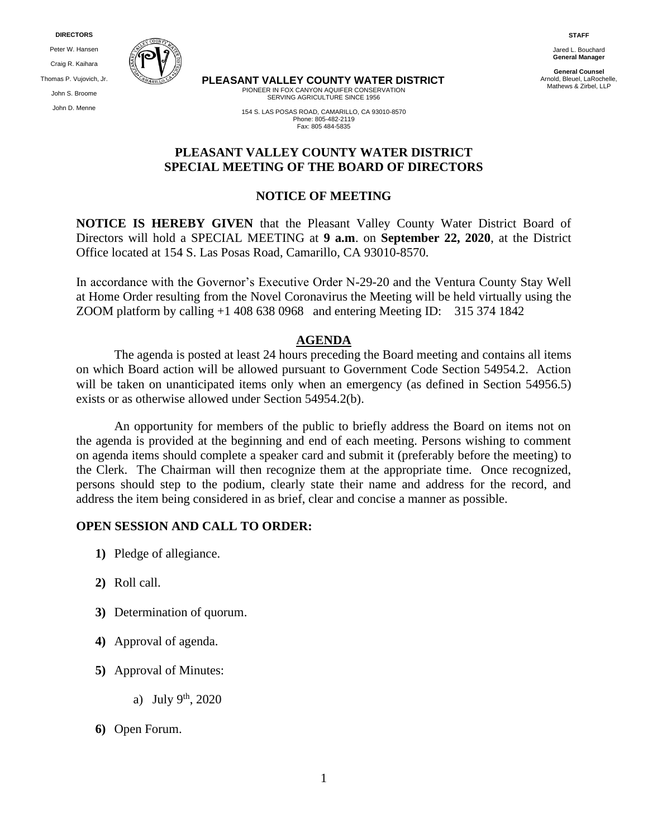**DIRECTORS**

Peter W. Hansen Craig R. Kaihara Thomas P. Vujovich, Jr. John S. Broome John D. Menne



**PLEASANT VALLEY COUNTY WATER DISTRICT**

PIONEER IN FOX CANYON AQUIFER CONSERVATION SERVING AGRICULTURE SINCE 1956

**STAFF** Jared L. Bouchard **General Manager**

**General Counsel** Arnold, Bleuel, LaRochelle, Mathews & Zirbel, LLP

154 S. LAS POSAS ROAD, CAMARILLO, CA 93010-8570 Phone: 805-482-2119 Fax: 805 484-5835

# **PLEASANT VALLEY COUNTY WATER DISTRICT SPECIAL MEETING OF THE BOARD OF DIRECTORS**

#### **NOTICE OF MEETING**

**NOTICE IS HEREBY GIVEN** that the Pleasant Valley County Water District Board of Directors will hold a SPECIAL MEETING at **9 a.m**. on **September 22, 2020**, at the District Office located at 154 S. Las Posas Road, Camarillo, CA 93010-8570.

In accordance with the Governor's Executive Order N-29-20 and the Ventura County Stay Well at Home Order resulting from the Novel Coronavirus the Meeting will be held virtually using the ZOOM platform by calling +1 408 638 0968 and entering Meeting ID: 315 374 1842

#### **AGENDA**

The agenda is posted at least 24 hours preceding the Board meeting and contains all items on which Board action will be allowed pursuant to Government Code Section 54954.2. Action will be taken on unanticipated items only when an emergency (as defined in Section 54956.5) exists or as otherwise allowed under Section 54954.2(b).

An opportunity for members of the public to briefly address the Board on items not on the agenda is provided at the beginning and end of each meeting. Persons wishing to comment on agenda items should complete a speaker card and submit it (preferably before the meeting) to the Clerk. The Chairman will then recognize them at the appropriate time. Once recognized, persons should step to the podium, clearly state their name and address for the record, and address the item being considered in as brief, clear and concise a manner as possible.

#### **OPEN SESSION AND CALL TO ORDER:**

- **1)** Pledge of allegiance.
- **2)** Roll call.
- **3)** Determination of quorum.
- **4)** Approval of agenda.
- **5)** Approval of Minutes:
	- a) July  $9^{th}$ , 2020
- **6)** Open Forum.